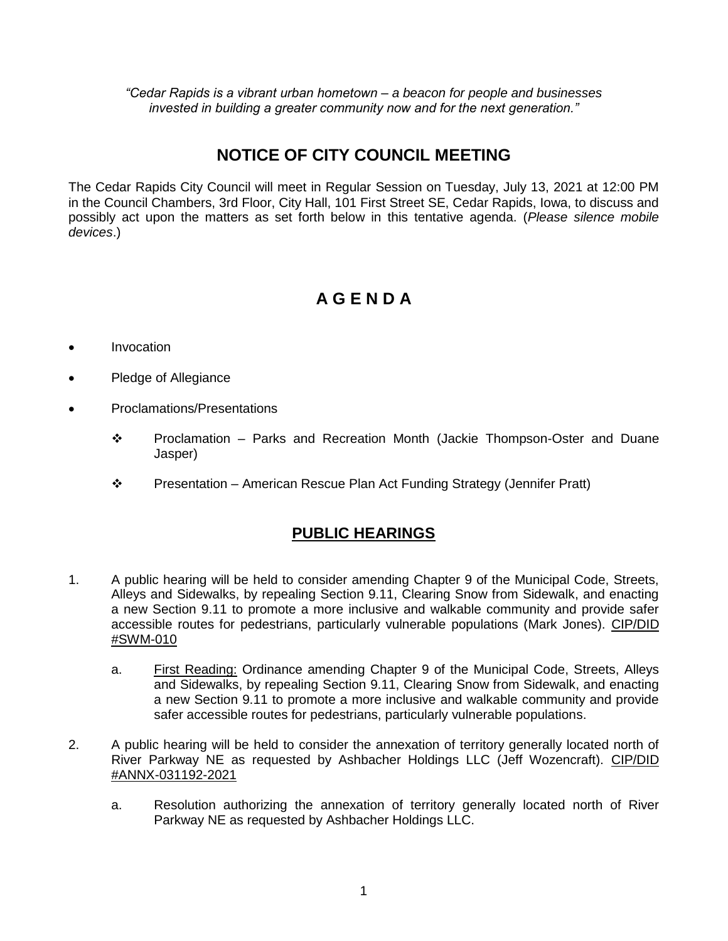*"Cedar Rapids is a vibrant urban hometown – a beacon for people and businesses invested in building a greater community now and for the next generation."*

## **NOTICE OF CITY COUNCIL MEETING**

The Cedar Rapids City Council will meet in Regular Session on Tuesday, July 13, 2021 at 12:00 PM in the Council Chambers, 3rd Floor, City Hall, 101 First Street SE, Cedar Rapids, Iowa, to discuss and possibly act upon the matters as set forth below in this tentative agenda. (*Please silence mobile devices*.)

# **A G E N D A**

- Invocation
- Pledge of Allegiance
- Proclamations/Presentations
	- $\div$  Proclamation Parks and Recreation Month (Jackie Thompson-Oster and Duane Jasper)
	- Presentation American Rescue Plan Act Funding Strategy (Jennifer Pratt)

## **PUBLIC HEARINGS**

- 1. A public hearing will be held to consider amending Chapter 9 of the Municipal Code, Streets, Alleys and Sidewalks, by repealing Section 9.11, Clearing Snow from Sidewalk, and enacting a new Section 9.11 to promote a more inclusive and walkable community and provide safer accessible routes for pedestrians, particularly vulnerable populations (Mark Jones). CIP/DID #SWM-010
	- a. First Reading: Ordinance amending Chapter 9 of the Municipal Code, Streets, Alleys and Sidewalks, by repealing Section 9.11, Clearing Snow from Sidewalk, and enacting a new Section 9.11 to promote a more inclusive and walkable community and provide safer accessible routes for pedestrians, particularly vulnerable populations.
- 2. A public hearing will be held to consider the annexation of territory generally located north of River Parkway NE as requested by Ashbacher Holdings LLC (Jeff Wozencraft). CIP/DID #ANNX-031192-2021
	- a. Resolution authorizing the annexation of territory generally located north of River Parkway NE as requested by Ashbacher Holdings LLC.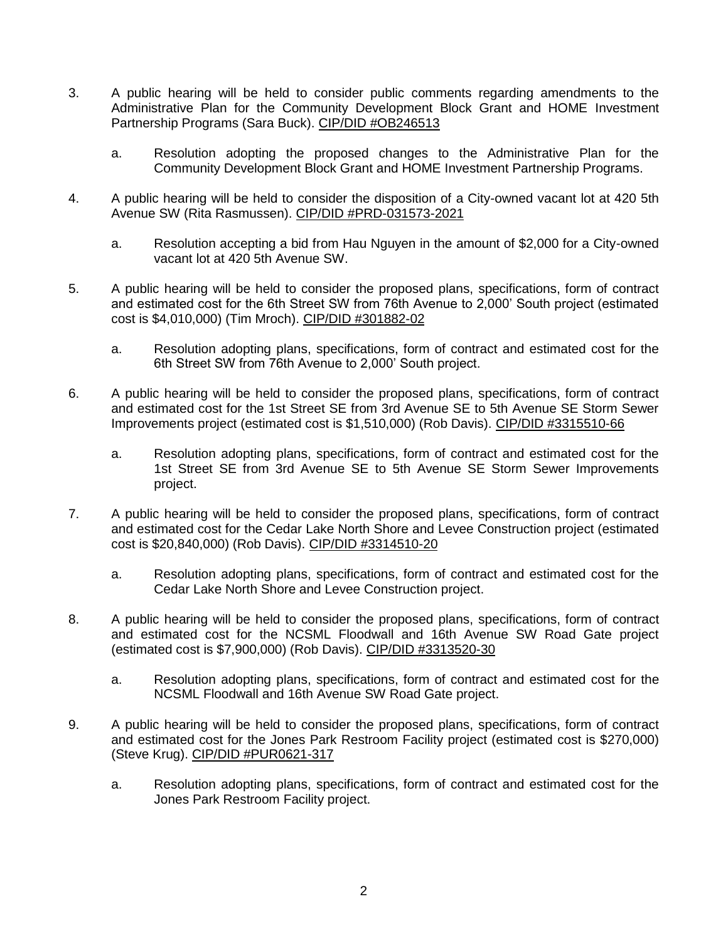- 3. A public hearing will be held to consider public comments regarding amendments to the Administrative Plan for the Community Development Block Grant and HOME Investment Partnership Programs (Sara Buck). CIP/DID #OB246513
	- a. Resolution adopting the proposed changes to the Administrative Plan for the Community Development Block Grant and HOME Investment Partnership Programs.
- 4. A public hearing will be held to consider the disposition of a City-owned vacant lot at 420 5th Avenue SW (Rita Rasmussen). CIP/DID #PRD-031573-2021
	- a. Resolution accepting a bid from Hau Nguyen in the amount of \$2,000 for a City-owned vacant lot at 420 5th Avenue SW.
- 5. A public hearing will be held to consider the proposed plans, specifications, form of contract and estimated cost for the 6th Street SW from 76th Avenue to 2,000' South project (estimated cost is \$4,010,000) (Tim Mroch). CIP/DID #301882-02
	- a. Resolution adopting plans, specifications, form of contract and estimated cost for the 6th Street SW from 76th Avenue to 2,000' South project.
- 6. A public hearing will be held to consider the proposed plans, specifications, form of contract and estimated cost for the 1st Street SE from 3rd Avenue SE to 5th Avenue SE Storm Sewer Improvements project (estimated cost is \$1,510,000) (Rob Davis). CIP/DID #3315510-66
	- a. Resolution adopting plans, specifications, form of contract and estimated cost for the 1st Street SE from 3rd Avenue SE to 5th Avenue SE Storm Sewer Improvements project.
- 7. A public hearing will be held to consider the proposed plans, specifications, form of contract and estimated cost for the Cedar Lake North Shore and Levee Construction project (estimated cost is \$20,840,000) (Rob Davis). CIP/DID #3314510-20
	- a. Resolution adopting plans, specifications, form of contract and estimated cost for the Cedar Lake North Shore and Levee Construction project.
- 8. A public hearing will be held to consider the proposed plans, specifications, form of contract and estimated cost for the NCSML Floodwall and 16th Avenue SW Road Gate project (estimated cost is \$7,900,000) (Rob Davis). CIP/DID #3313520-30
	- a. Resolution adopting plans, specifications, form of contract and estimated cost for the NCSML Floodwall and 16th Avenue SW Road Gate project.
- 9. A public hearing will be held to consider the proposed plans, specifications, form of contract and estimated cost for the Jones Park Restroom Facility project (estimated cost is \$270,000) (Steve Krug). CIP/DID #PUR0621-317
	- a. Resolution adopting plans, specifications, form of contract and estimated cost for the Jones Park Restroom Facility project.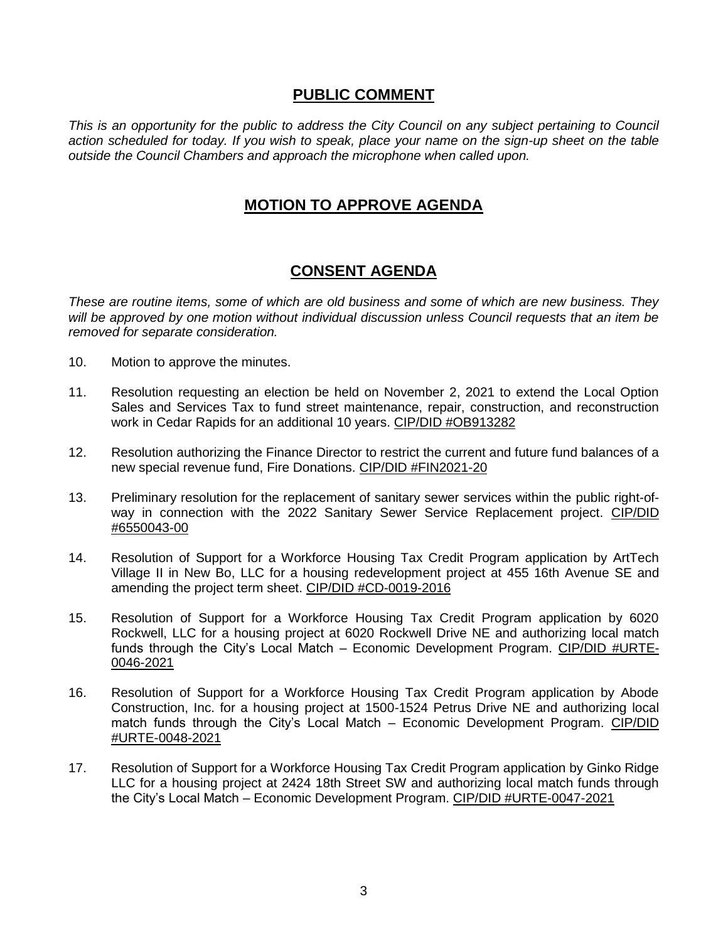### **PUBLIC COMMENT**

*This is an opportunity for the public to address the City Council on any subject pertaining to Council action scheduled for today. If you wish to speak, place your name on the sign-up sheet on the table outside the Council Chambers and approach the microphone when called upon.*

## **MOTION TO APPROVE AGENDA**

## **CONSENT AGENDA**

*These are routine items, some of which are old business and some of which are new business. They will be approved by one motion without individual discussion unless Council requests that an item be removed for separate consideration.*

- 10. Motion to approve the minutes.
- 11. Resolution requesting an election be held on November 2, 2021 to extend the Local Option Sales and Services Tax to fund street maintenance, repair, construction, and reconstruction work in Cedar Rapids for an additional 10 years. CIP/DID #OB913282
- 12. Resolution authorizing the Finance Director to restrict the current and future fund balances of a new special revenue fund, Fire Donations. CIP/DID #FIN2021-20
- 13. Preliminary resolution for the replacement of sanitary sewer services within the public right-ofway in connection with the 2022 Sanitary Sewer Service Replacement project. CIP/DID #6550043-00
- 14. Resolution of Support for a Workforce Housing Tax Credit Program application by ArtTech Village II in New Bo, LLC for a housing redevelopment project at 455 16th Avenue SE and amending the project term sheet. CIP/DID #CD-0019-2016
- 15. Resolution of Support for a Workforce Housing Tax Credit Program application by 6020 Rockwell, LLC for a housing project at 6020 Rockwell Drive NE and authorizing local match funds through the City's Local Match – Economic Development Program. CIP/DID #URTE-0046-2021
- 16. Resolution of Support for a Workforce Housing Tax Credit Program application by Abode Construction, Inc. for a housing project at 1500-1524 Petrus Drive NE and authorizing local match funds through the City's Local Match – Economic Development Program. CIP/DID #URTE-0048-2021
- 17. Resolution of Support for a Workforce Housing Tax Credit Program application by Ginko Ridge LLC for a housing project at 2424 18th Street SW and authorizing local match funds through the City's Local Match – Economic Development Program. CIP/DID #URTE-0047-2021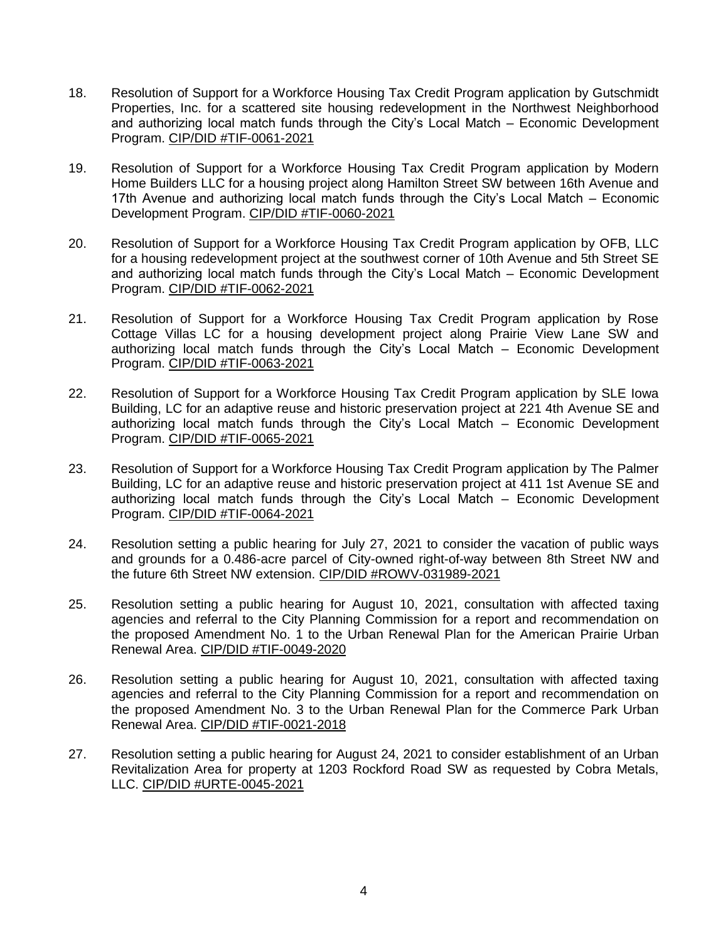- 18. Resolution of Support for a Workforce Housing Tax Credit Program application by Gutschmidt Properties, Inc. for a scattered site housing redevelopment in the Northwest Neighborhood and authorizing local match funds through the City's Local Match – Economic Development Program. CIP/DID #TIF-0061-2021
- 19. Resolution of Support for a Workforce Housing Tax Credit Program application by Modern Home Builders LLC for a housing project along Hamilton Street SW between 16th Avenue and 17th Avenue and authorizing local match funds through the City's Local Match – Economic Development Program. CIP/DID #TIF-0060-2021
- 20. Resolution of Support for a Workforce Housing Tax Credit Program application by OFB, LLC for a housing redevelopment project at the southwest corner of 10th Avenue and 5th Street SE and authorizing local match funds through the City's Local Match – Economic Development Program. CIP/DID #TIF-0062-2021
- 21. Resolution of Support for a Workforce Housing Tax Credit Program application by Rose Cottage Villas LC for a housing development project along Prairie View Lane SW and authorizing local match funds through the City's Local Match – Economic Development Program. CIP/DID #TIF-0063-2021
- 22. Resolution of Support for a Workforce Housing Tax Credit Program application by SLE Iowa Building, LC for an adaptive reuse and historic preservation project at 221 4th Avenue SE and authorizing local match funds through the City's Local Match – Economic Development Program. CIP/DID #TIF-0065-2021
- 23. Resolution of Support for a Workforce Housing Tax Credit Program application by The Palmer Building, LC for an adaptive reuse and historic preservation project at 411 1st Avenue SE and authorizing local match funds through the City's Local Match – Economic Development Program. CIP/DID #TIF-0064-2021
- 24. Resolution setting a public hearing for July 27, 2021 to consider the vacation of public ways and grounds for a 0.486-acre parcel of City-owned right-of-way between 8th Street NW and the future 6th Street NW extension. CIP/DID #ROWV-031989-2021
- 25. Resolution setting a public hearing for August 10, 2021, consultation with affected taxing agencies and referral to the City Planning Commission for a report and recommendation on the proposed Amendment No. 1 to the Urban Renewal Plan for the American Prairie Urban Renewal Area. CIP/DID #TIF-0049-2020
- 26. Resolution setting a public hearing for August 10, 2021, consultation with affected taxing agencies and referral to the City Planning Commission for a report and recommendation on the proposed Amendment No. 3 to the Urban Renewal Plan for the Commerce Park Urban Renewal Area. CIP/DID #TIF-0021-2018
- 27. Resolution setting a public hearing for August 24, 2021 to consider establishment of an Urban Revitalization Area for property at 1203 Rockford Road SW as requested by Cobra Metals, LLC. CIP/DID #URTE-0045-2021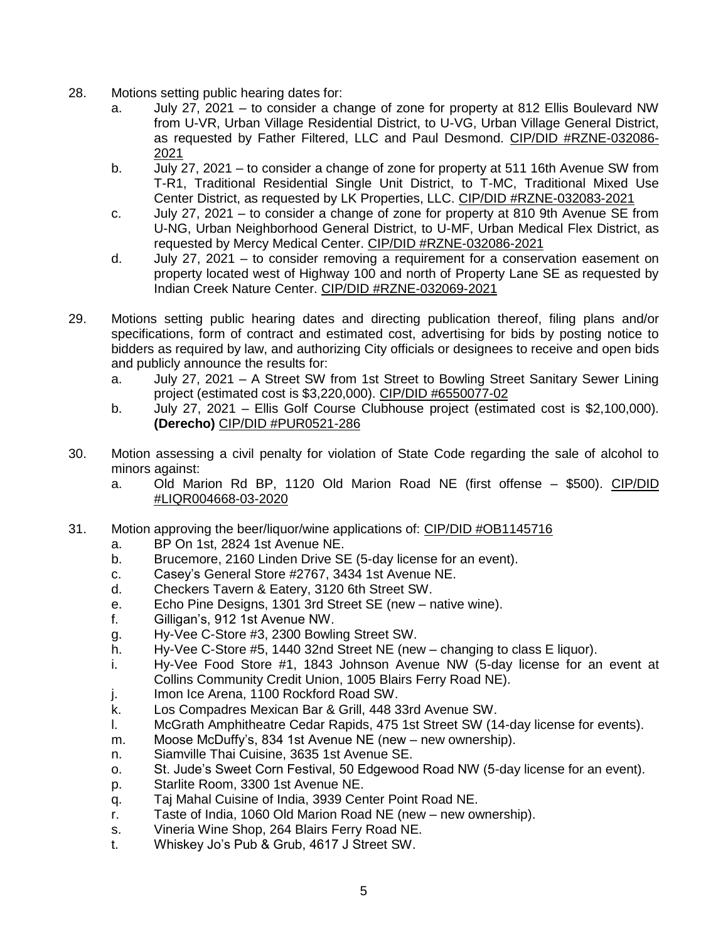- 28. Motions setting public hearing dates for:
	- a. July 27, 2021 to consider a change of zone for property at 812 Ellis Boulevard NW from U-VR, Urban Village Residential District, to U-VG, Urban Village General District, as requested by Father Filtered, LLC and Paul Desmond. CIP/DID #RZNE-032086- 2021
	- b. July 27, 2021 to consider a change of zone for property at 511 16th Avenue SW from T-R1, Traditional Residential Single Unit District, to T-MC, Traditional Mixed Use Center District, as requested by LK Properties, LLC. CIP/DID #RZNE-032083-2021
	- c. July 27, 2021 to consider a change of zone for property at 810 9th Avenue SE from U-NG, Urban Neighborhood General District, to U-MF, Urban Medical Flex District, as requested by Mercy Medical Center. CIP/DID #RZNE-032086-2021
	- d. July 27, 2021 to consider removing a requirement for a conservation easement on property located west of Highway 100 and north of Property Lane SE as requested by Indian Creek Nature Center. CIP/DID #RZNE-032069-2021
- 29. Motions setting public hearing dates and directing publication thereof, filing plans and/or specifications, form of contract and estimated cost, advertising for bids by posting notice to bidders as required by law, and authorizing City officials or designees to receive and open bids and publicly announce the results for:
	- a. July 27, 2021 A Street SW from 1st Street to Bowling Street Sanitary Sewer Lining project (estimated cost is \$3,220,000). CIP/DID #6550077-02
	- b. July 27, 2021 Ellis Golf Course Clubhouse project (estimated cost is \$2,100,000). **(Derecho)** CIP/DID #PUR0521-286
- 30. Motion assessing a civil penalty for violation of State Code regarding the sale of alcohol to minors against:
	- a. Old Marion Rd BP, 1120 Old Marion Road NE (first offense \$500). CIP/DID #LIQR004668-03-2020
- 31. Motion approving the beer/liquor/wine applications of: CIP/DID #OB1145716
	- a. BP On 1st, 2824 1st Avenue NE.
	- b. Brucemore, 2160 Linden Drive SE (5-day license for an event).
	- c. Casey's General Store #2767, 3434 1st Avenue NE.
	- d. Checkers Tavern & Eatery, 3120 6th Street SW.
	- e. Echo Pine Designs, 1301 3rd Street SE (new native wine).
	- f. Gilligan's, 912 1st Avenue NW.
	- g. Hy-Vee C-Store #3, 2300 Bowling Street SW.
	- h. Hy-Vee C-Store #5, 1440 32nd Street NE (new changing to class E liquor).
	- i. Hy-Vee Food Store #1, 1843 Johnson Avenue NW (5-day license for an event at Collins Community Credit Union, 1005 Blairs Ferry Road NE).
	- j. Imon Ice Arena, 1100 Rockford Road SW.
	- k. Los Compadres Mexican Bar & Grill, 448 33rd Avenue SW.
	- l. McGrath Amphitheatre Cedar Rapids, 475 1st Street SW (14-day license for events).
	- m. Moose McDuffy's, 834 1st Avenue NE (new new ownership).
	- n. Siamville Thai Cuisine, 3635 1st Avenue SE.
	- o. St. Jude's Sweet Corn Festival, 50 Edgewood Road NW (5-day license for an event).
	- p. Starlite Room, 3300 1st Avenue NE.
	- q. Taj Mahal Cuisine of India, 3939 Center Point Road NE.
	- r. Taste of India, 1060 Old Marion Road NE (new new ownership).
	- s. Vineria Wine Shop, 264 Blairs Ferry Road NE.
	- t. Whiskey Jo's Pub & Grub, 4617 J Street SW.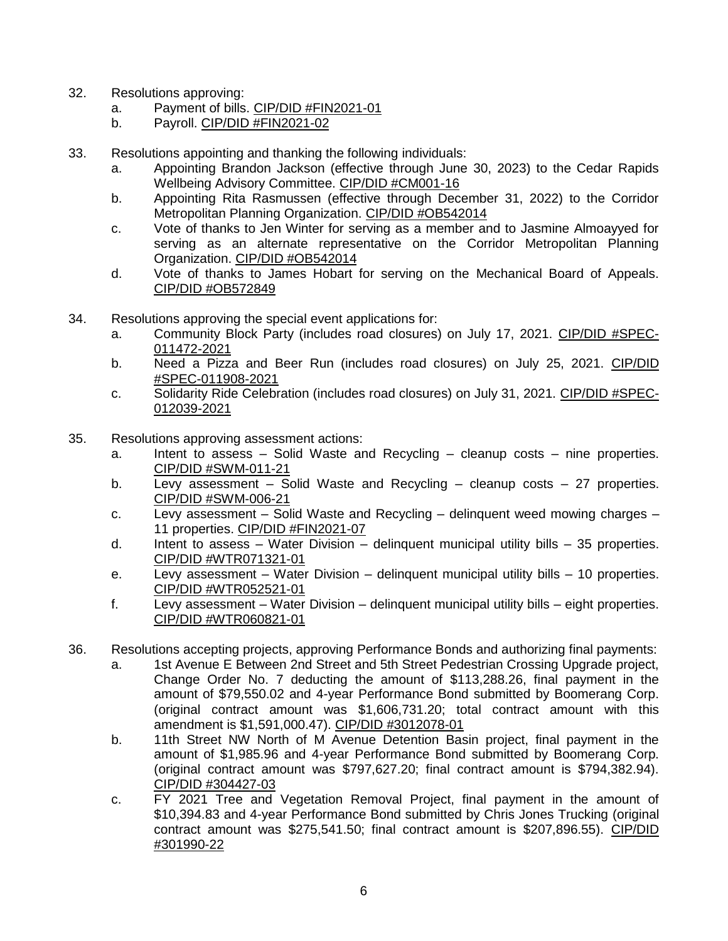- 32. Resolutions approving:
	- a. Payment of bills. CIP/DID #FIN2021-01
	- b. Payroll. CIP/DID #FIN2021-02
- 33. Resolutions appointing and thanking the following individuals:
	- a. Appointing Brandon Jackson (effective through June 30, 2023) to the Cedar Rapids Wellbeing Advisory Committee. CIP/DID #CM001-16
	- b. Appointing Rita Rasmussen (effective through December 31, 2022) to the Corridor Metropolitan Planning Organization. CIP/DID #OB542014
	- c. Vote of thanks to Jen Winter for serving as a member and to Jasmine Almoayyed for serving as an alternate representative on the Corridor Metropolitan Planning Organization. CIP/DID #OB542014
	- d. Vote of thanks to James Hobart for serving on the Mechanical Board of Appeals. CIP/DID #OB572849
- 34. Resolutions approving the special event applications for:
	- a. Community Block Party (includes road closures) on July 17, 2021. CIP/DID #SPEC-011472-2021
	- b. Need a Pizza and Beer Run (includes road closures) on July 25, 2021. CIP/DID #SPEC-011908-2021
	- c. Solidarity Ride Celebration (includes road closures) on July 31, 2021. CIP/DID #SPEC-012039-2021
- 35. Resolutions approving assessment actions:
	- a. Intent to assess Solid Waste and Recycling cleanup costs nine properties. CIP/DID #SWM-011-21
	- b. Levy assessment Solid Waste and Recycling cleanup costs 27 properties. CIP/DID #SWM-006-21
	- c. Levy assessment Solid Waste and Recycling delinquent weed mowing charges 11 properties. CIP/DID #FIN2021-07
	- d. Intent to assess Water Division delinquent municipal utility bills 35 properties. CIP/DID #WTR071321-01
	- e. Levy assessment Water Division delinquent municipal utility bills 10 properties. CIP/DID #WTR052521-01
	- f. Levy assessment Water Division delinquent municipal utility bills eight properties. CIP/DID #WTR060821-01
- 36. Resolutions accepting projects, approving Performance Bonds and authorizing final payments:
	- a. 1st Avenue E Between 2nd Street and 5th Street Pedestrian Crossing Upgrade project, Change Order No. 7 deducting the amount of \$113,288.26, final payment in the amount of \$79,550.02 and 4-year Performance Bond submitted by Boomerang Corp. (original contract amount was \$1,606,731.20; total contract amount with this amendment is \$1,591,000.47). CIP/DID #3012078-01
	- b. 11th Street NW North of M Avenue Detention Basin project, final payment in the amount of \$1,985.96 and 4-year Performance Bond submitted by Boomerang Corp. (original contract amount was \$797,627.20; final contract amount is \$794,382.94). CIP/DID #304427-03
	- c. FY 2021 Tree and Vegetation Removal Project, final payment in the amount of \$10,394.83 and 4-year Performance Bond submitted by Chris Jones Trucking (original contract amount was \$275,541.50; final contract amount is \$207,896.55). CIP/DID #301990-22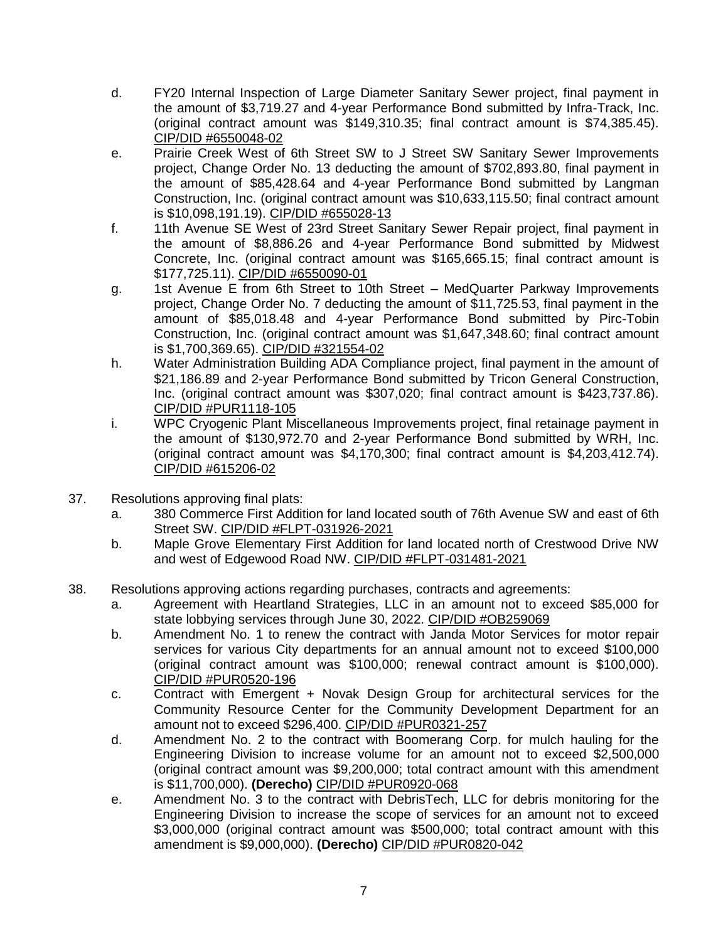- d. FY20 Internal Inspection of Large Diameter Sanitary Sewer project, final payment in the amount of \$3,719.27 and 4-year Performance Bond submitted by Infra-Track, Inc. (original contract amount was \$149,310.35; final contract amount is \$74,385.45). CIP/DID #6550048-02
- e. Prairie Creek West of 6th Street SW to J Street SW Sanitary Sewer Improvements project, Change Order No. 13 deducting the amount of \$702,893.80, final payment in the amount of \$85,428.64 and 4-year Performance Bond submitted by Langman Construction, Inc. (original contract amount was \$10,633,115.50; final contract amount is \$10,098,191.19). CIP/DID #655028-13
- f. 11th Avenue SE West of 23rd Street Sanitary Sewer Repair project, final payment in the amount of \$8,886.26 and 4-year Performance Bond submitted by Midwest Concrete, Inc. (original contract amount was \$165,665.15; final contract amount is \$177,725.11). CIP/DID #6550090-01
- g. 1st Avenue E from 6th Street to 10th Street MedQuarter Parkway Improvements project, Change Order No. 7 deducting the amount of \$11,725.53, final payment in the amount of \$85,018.48 and 4-year Performance Bond submitted by Pirc-Tobin Construction, Inc. (original contract amount was \$1,647,348.60; final contract amount is \$1,700,369.65). CIP/DID #321554-02
- h. Water Administration Building ADA Compliance project, final payment in the amount of \$21,186.89 and 2-year Performance Bond submitted by Tricon General Construction, Inc. (original contract amount was \$307,020; final contract amount is \$423,737.86). CIP/DID #PUR1118-105
- i. WPC Cryogenic Plant Miscellaneous Improvements project, final retainage payment in the amount of \$130,972.70 and 2-year Performance Bond submitted by WRH, Inc. (original contract amount was \$4,170,300; final contract amount is \$4,203,412.74). CIP/DID #615206-02
- 37. Resolutions approving final plats:
	- a. 380 Commerce First Addition for land located south of 76th Avenue SW and east of 6th Street SW. CIP/DID #FLPT-031926-2021
	- b. Maple Grove Elementary First Addition for land located north of Crestwood Drive NW and west of Edgewood Road NW. CIP/DID #FLPT-031481-2021
- 38. Resolutions approving actions regarding purchases, contracts and agreements:
	- a. Agreement with Heartland Strategies, LLC in an amount not to exceed \$85,000 for state lobbying services through June 30, 2022. CIP/DID #OB259069
	- b. Amendment No. 1 to renew the contract with Janda Motor Services for motor repair services for various City departments for an annual amount not to exceed \$100,000 (original contract amount was \$100,000; renewal contract amount is \$100,000). CIP/DID #PUR0520-196
	- c. Contract with Emergent + Novak Design Group for architectural services for the Community Resource Center for the Community Development Department for an amount not to exceed \$296,400. CIP/DID #PUR0321-257
	- d. Amendment No. 2 to the contract with Boomerang Corp. for mulch hauling for the Engineering Division to increase volume for an amount not to exceed \$2,500,000 (original contract amount was \$9,200,000; total contract amount with this amendment is \$11,700,000). **(Derecho)** CIP/DID #PUR0920-068
	- e. Amendment No. 3 to the contract with DebrisTech, LLC for debris monitoring for the Engineering Division to increase the scope of services for an amount not to exceed \$3,000,000 (original contract amount was \$500,000; total contract amount with this amendment is \$9,000,000). **(Derecho)** CIP/DID #PUR0820-042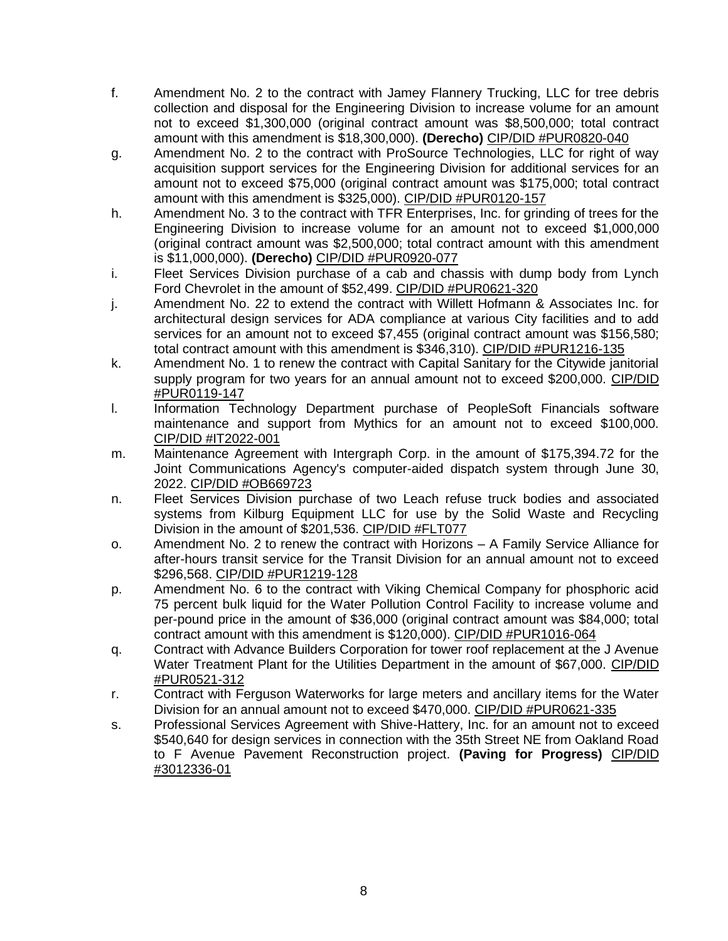- f. Amendment No. 2 to the contract with Jamey Flannery Trucking, LLC for tree debris collection and disposal for the Engineering Division to increase volume for an amount not to exceed \$1,300,000 (original contract amount was \$8,500,000; total contract amount with this amendment is \$18,300,000). **(Derecho)** CIP/DID #PUR0820-040
- g. Amendment No. 2 to the contract with ProSource Technologies, LLC for right of way acquisition support services for the Engineering Division for additional services for an amount not to exceed \$75,000 (original contract amount was \$175,000; total contract amount with this amendment is \$325,000). CIP/DID #PUR0120-157
- h. Amendment No. 3 to the contract with TFR Enterprises, Inc. for grinding of trees for the Engineering Division to increase volume for an amount not to exceed \$1,000,000 (original contract amount was \$2,500,000; total contract amount with this amendment is \$11,000,000). **(Derecho)** CIP/DID #PUR0920-077
- i. Fleet Services Division purchase of a cab and chassis with dump body from Lynch Ford Chevrolet in the amount of \$52,499. CIP/DID #PUR0621-320
- j. Amendment No. 22 to extend the contract with Willett Hofmann & Associates Inc. for architectural design services for ADA compliance at various City facilities and to add services for an amount not to exceed \$7,455 (original contract amount was \$156,580; total contract amount with this amendment is \$346,310). CIP/DID #PUR1216-135
- k. Amendment No. 1 to renew the contract with Capital Sanitary for the Citywide janitorial supply program for two years for an annual amount not to exceed \$200,000. CIP/DID #PUR0119-147
- l. Information Technology Department purchase of PeopleSoft Financials software maintenance and support from Mythics for an amount not to exceed \$100,000. CIP/DID #IT2022-001
- m. Maintenance Agreement with Intergraph Corp. in the amount of \$175,394.72 for the Joint Communications Agency's computer-aided dispatch system through June 30, 2022. CIP/DID #OB669723
- n. Fleet Services Division purchase of two Leach refuse truck bodies and associated systems from Kilburg Equipment LLC for use by the Solid Waste and Recycling Division in the amount of \$201,536. CIP/DID #FLT077
- o. Amendment No. 2 to renew the contract with Horizons A Family Service Alliance for after-hours transit service for the Transit Division for an annual amount not to exceed \$296,568. CIP/DID #PUR1219-128
- p. Amendment No. 6 to the contract with Viking Chemical Company for phosphoric acid 75 percent bulk liquid for the Water Pollution Control Facility to increase volume and per-pound price in the amount of \$36,000 (original contract amount was \$84,000; total contract amount with this amendment is \$120,000). CIP/DID #PUR1016-064
- q. Contract with Advance Builders Corporation for tower roof replacement at the J Avenue Water Treatment Plant for the Utilities Department in the amount of \$67,000. CIP/DID #PUR0521-312
- r. Contract with Ferguson Waterworks for large meters and ancillary items for the Water Division for an annual amount not to exceed \$470,000. CIP/DID #PUR0621-335
- s. Professional Services Agreement with Shive-Hattery, Inc. for an amount not to exceed \$540,640 for design services in connection with the 35th Street NE from Oakland Road to F Avenue Pavement Reconstruction project. **(Paving for Progress)** CIP/DID #3012336-01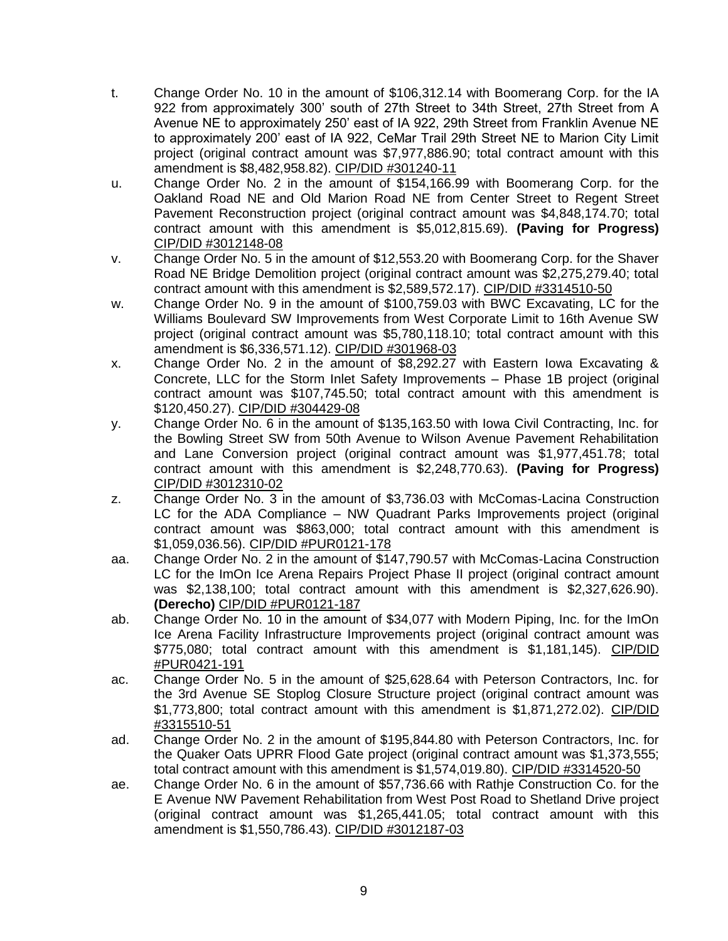- t. Change Order No. 10 in the amount of \$106,312.14 with Boomerang Corp. for the IA 922 from approximately 300' south of 27th Street to 34th Street, 27th Street from A Avenue NE to approximately 250' east of IA 922, 29th Street from Franklin Avenue NE to approximately 200' east of IA 922, CeMar Trail 29th Street NE to Marion City Limit project (original contract amount was \$7,977,886.90; total contract amount with this amendment is \$8,482,958.82). CIP/DID #301240-11
- u. Change Order No. 2 in the amount of \$154,166.99 with Boomerang Corp. for the Oakland Road NE and Old Marion Road NE from Center Street to Regent Street Pavement Reconstruction project (original contract amount was \$4,848,174.70; total contract amount with this amendment is \$5,012,815.69). **(Paving for Progress)** CIP/DID #3012148-08
- v. Change Order No. 5 in the amount of \$12,553.20 with Boomerang Corp. for the Shaver Road NE Bridge Demolition project (original contract amount was \$2,275,279.40; total contract amount with this amendment is \$2,589,572.17). CIP/DID #3314510-50
- w. Change Order No. 9 in the amount of \$100,759.03 with BWC Excavating, LC for the Williams Boulevard SW Improvements from West Corporate Limit to 16th Avenue SW project (original contract amount was \$5,780,118.10; total contract amount with this amendment is \$6,336,571.12). CIP/DID #301968-03
- x. Change Order No. 2 in the amount of \$8,292.27 with Eastern Iowa Excavating & Concrete, LLC for the Storm Inlet Safety Improvements – Phase 1B project (original contract amount was \$107,745.50; total contract amount with this amendment is \$120,450.27). CIP/DID #304429-08
- y. Change Order No. 6 in the amount of \$135,163.50 with Iowa Civil Contracting, Inc. for the Bowling Street SW from 50th Avenue to Wilson Avenue Pavement Rehabilitation and Lane Conversion project (original contract amount was \$1,977,451.78; total contract amount with this amendment is \$2,248,770.63). **(Paving for Progress)** CIP/DID #3012310-02
- z. Change Order No. 3 in the amount of \$3,736.03 with McComas-Lacina Construction LC for the ADA Compliance – NW Quadrant Parks Improvements project (original contract amount was \$863,000; total contract amount with this amendment is \$1,059,036.56). CIP/DID #PUR0121-178
- aa. Change Order No. 2 in the amount of \$147,790.57 with McComas-Lacina Construction LC for the ImOn Ice Arena Repairs Project Phase II project (original contract amount was \$2,138,100; total contract amount with this amendment is \$2,327,626.90). **(Derecho)** CIP/DID #PUR0121-187
- ab. Change Order No. 10 in the amount of \$34,077 with Modern Piping, Inc. for the ImOn Ice Arena Facility Infrastructure Improvements project (original contract amount was \$775,080; total contract amount with this amendment is \$1,181,145). CIP/DID #PUR0421-191
- ac. Change Order No. 5 in the amount of \$25,628.64 with Peterson Contractors, Inc. for the 3rd Avenue SE Stoplog Closure Structure project (original contract amount was \$1,773,800; total contract amount with this amendment is \$1,871,272.02). CIP/DID #3315510-51
- ad. Change Order No. 2 in the amount of \$195,844.80 with Peterson Contractors, Inc. for the Quaker Oats UPRR Flood Gate project (original contract amount was \$1,373,555; total contract amount with this amendment is \$1,574,019.80). CIP/DID #3314520-50
- ae. Change Order No. 6 in the amount of \$57,736.66 with Rathje Construction Co. for the E Avenue NW Pavement Rehabilitation from West Post Road to Shetland Drive project (original contract amount was \$1,265,441.05; total contract amount with this amendment is \$1,550,786.43). CIP/DID #3012187-03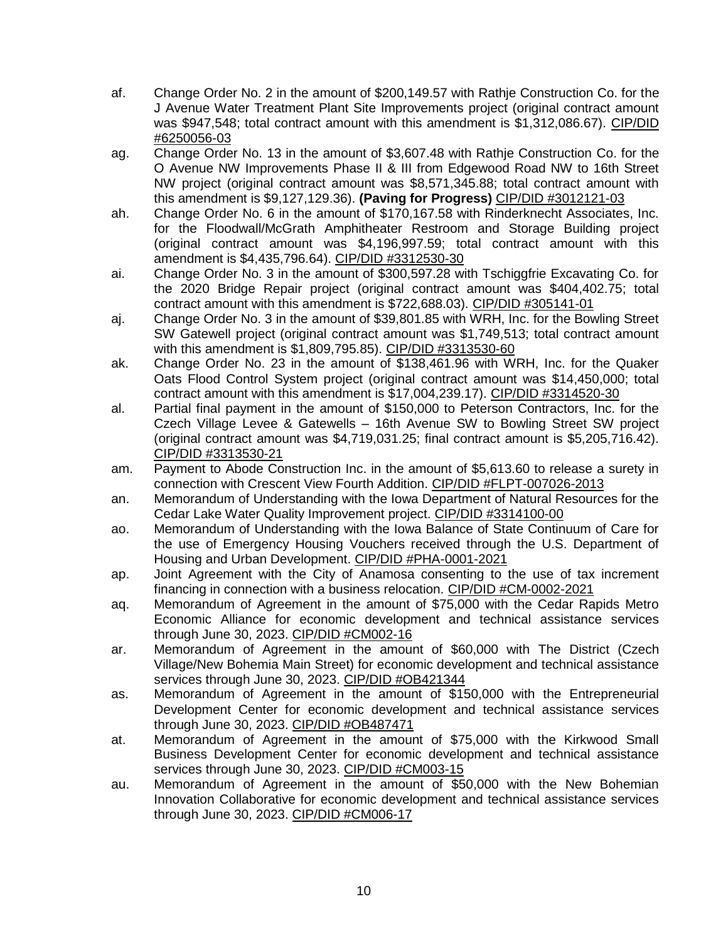- af. Change Order No. 2 in the amount of \$200,149.57 with Rathje Construction Co. for the J Avenue Water Treatment Plant Site Improvements project (original contract amount was \$947,548; total contract amount with this amendment is \$1,312,086.67). CIP/DID #6250056-03
- ag. Change Order No. 13 in the amount of \$3,607.48 with Rathje Construction Co. for the O Avenue NW Improvements Phase II & III from Edgewood Road NW to 16th Street NW project (original contract amount was \$8,571,345.88; total contract amount with this amendment is \$9,127,129.36). **(Paving for Progress)** CIP/DID #3012121-03
- ah. Change Order No. 6 in the amount of \$170,167.58 with Rinderknecht Associates, Inc. for the Floodwall/McGrath Amphitheater Restroom and Storage Building project (original contract amount was \$4,196,997.59; total contract amount with this amendment is \$4,435,796.64). CIP/DID #3312530-30
- ai. Change Order No. 3 in the amount of \$300,597.28 with Tschiggfrie Excavating Co. for the 2020 Bridge Repair project (original contract amount was \$404,402.75; total contract amount with this amendment is \$722,688.03). CIP/DID #305141-01
- aj. Change Order No. 3 in the amount of \$39,801.85 with WRH, Inc. for the Bowling Street SW Gatewell project (original contract amount was \$1,749,513; total contract amount with this amendment is \$1,809,795.85). CIP/DID #3313530-60
- ak. Change Order No. 23 in the amount of \$138,461.96 with WRH, Inc. for the Quaker Oats Flood Control System project (original contract amount was \$14,450,000; total contract amount with this amendment is \$17,004,239.17). CIP/DID #3314520-30
- al. Partial final payment in the amount of \$150,000 to Peterson Contractors, Inc. for the Czech Village Levee & Gatewells – 16th Avenue SW to Bowling Street SW project (original contract amount was \$4,719,031.25; final contract amount is \$5,205,716.42). CIP/DID #3313530-21
- am. Payment to Abode Construction Inc. in the amount of \$5,613.60 to release a surety in connection with Crescent View Fourth Addition. CIP/DID #FLPT-007026-2013
- an. Memorandum of Understanding with the Iowa Department of Natural Resources for the Cedar Lake Water Quality Improvement project. CIP/DID #3314100-00
- ao. Memorandum of Understanding with the Iowa Balance of State Continuum of Care for the use of Emergency Housing Vouchers received through the U.S. Department of Housing and Urban Development. CIP/DID #PHA-0001-2021
- ap. Joint Agreement with the City of Anamosa consenting to the use of tax increment financing in connection with a business relocation. CIP/DID #CM-0002-2021
- aq. Memorandum of Agreement in the amount of \$75,000 with the Cedar Rapids Metro Economic Alliance for economic development and technical assistance services through June 30, 2023. CIP/DID #CM002-16
- ar. Memorandum of Agreement in the amount of \$60,000 with The District (Czech Village/New Bohemia Main Street) for economic development and technical assistance services through June 30, 2023. CIP/DID #OB421344
- as. Memorandum of Agreement in the amount of \$150,000 with the Entrepreneurial Development Center for economic development and technical assistance services through June 30, 2023. CIP/DID #OB487471
- at. Memorandum of Agreement in the amount of \$75,000 with the Kirkwood Small Business Development Center for economic development and technical assistance services through June 30, 2023. CIP/DID #CM003-15
- au. Memorandum of Agreement in the amount of \$50,000 with the New Bohemian Innovation Collaborative for economic development and technical assistance services through June 30, 2023. CIP/DID #CM006-17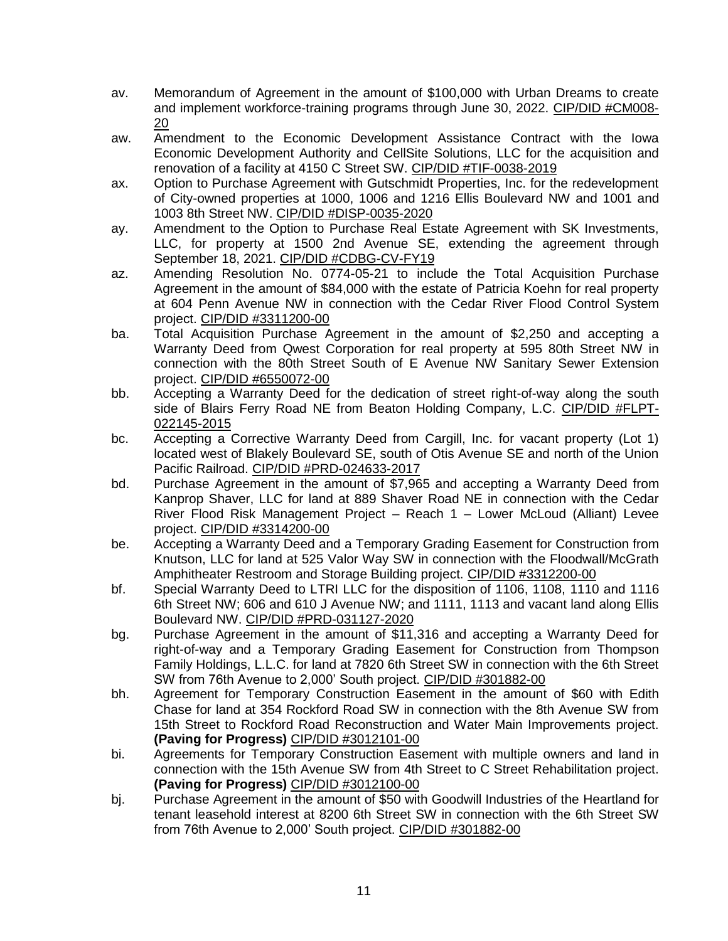- av. Memorandum of Agreement in the amount of \$100,000 with Urban Dreams to create and implement workforce-training programs through June 30, 2022. CIP/DID #CM008- 20
- aw. Amendment to the Economic Development Assistance Contract with the Iowa Economic Development Authority and CellSite Solutions, LLC for the acquisition and renovation of a facility at 4150 C Street SW. CIP/DID #TIF-0038-2019
- ax. Option to Purchase Agreement with Gutschmidt Properties, Inc. for the redevelopment of City-owned properties at 1000, 1006 and 1216 Ellis Boulevard NW and 1001 and 1003 8th Street NW. CIP/DID #DISP-0035-2020
- ay. Amendment to the Option to Purchase Real Estate Agreement with SK Investments, LLC, for property at 1500 2nd Avenue SE, extending the agreement through September 18, 2021. CIP/DID #CDBG-CV-FY19
- az. Amending Resolution No. 0774-05-21 to include the Total Acquisition Purchase Agreement in the amount of \$84,000 with the estate of Patricia Koehn for real property at 604 Penn Avenue NW in connection with the Cedar River Flood Control System project. CIP/DID #3311200-00
- ba. Total Acquisition Purchase Agreement in the amount of \$2,250 and accepting a Warranty Deed from Qwest Corporation for real property at 595 80th Street NW in connection with the 80th Street South of E Avenue NW Sanitary Sewer Extension project. CIP/DID #6550072-00
- bb. Accepting a Warranty Deed for the dedication of street right-of-way along the south side of Blairs Ferry Road NE from Beaton Holding Company, L.C. CIP/DID #FLPT-022145-2015
- bc. Accepting a Corrective Warranty Deed from Cargill, Inc. for vacant property (Lot 1) located west of Blakely Boulevard SE, south of Otis Avenue SE and north of the Union Pacific Railroad. CIP/DID #PRD-024633-2017
- bd. Purchase Agreement in the amount of \$7,965 and accepting a Warranty Deed from Kanprop Shaver, LLC for land at 889 Shaver Road NE in connection with the Cedar River Flood Risk Management Project – Reach 1 – Lower McLoud (Alliant) Levee project. CIP/DID #3314200-00
- be. Accepting a Warranty Deed and a Temporary Grading Easement for Construction from Knutson, LLC for land at 525 Valor Way SW in connection with the Floodwall/McGrath Amphitheater Restroom and Storage Building project. CIP/DID #3312200-00
- bf. Special Warranty Deed to LTRI LLC for the disposition of 1106, 1108, 1110 and 1116 6th Street NW; 606 and 610 J Avenue NW; and 1111, 1113 and vacant land along Ellis Boulevard NW. CIP/DID #PRD-031127-2020
- bg. Purchase Agreement in the amount of \$11,316 and accepting a Warranty Deed for right-of-way and a Temporary Grading Easement for Construction from Thompson Family Holdings, L.L.C. for land at 7820 6th Street SW in connection with the 6th Street SW from 76th Avenue to 2,000' South project. CIP/DID #301882-00
- bh. Agreement for Temporary Construction Easement in the amount of \$60 with Edith Chase for land at 354 Rockford Road SW in connection with the 8th Avenue SW from 15th Street to Rockford Road Reconstruction and Water Main Improvements project. **(Paving for Progress)** CIP/DID #3012101-00
- bi. Agreements for Temporary Construction Easement with multiple owners and land in connection with the 15th Avenue SW from 4th Street to C Street Rehabilitation project. **(Paving for Progress)** CIP/DID #3012100-00
- bj. Purchase Agreement in the amount of \$50 with Goodwill Industries of the Heartland for tenant leasehold interest at 8200 6th Street SW in connection with the 6th Street SW from 76th Avenue to 2,000' South project. CIP/DID #301882-00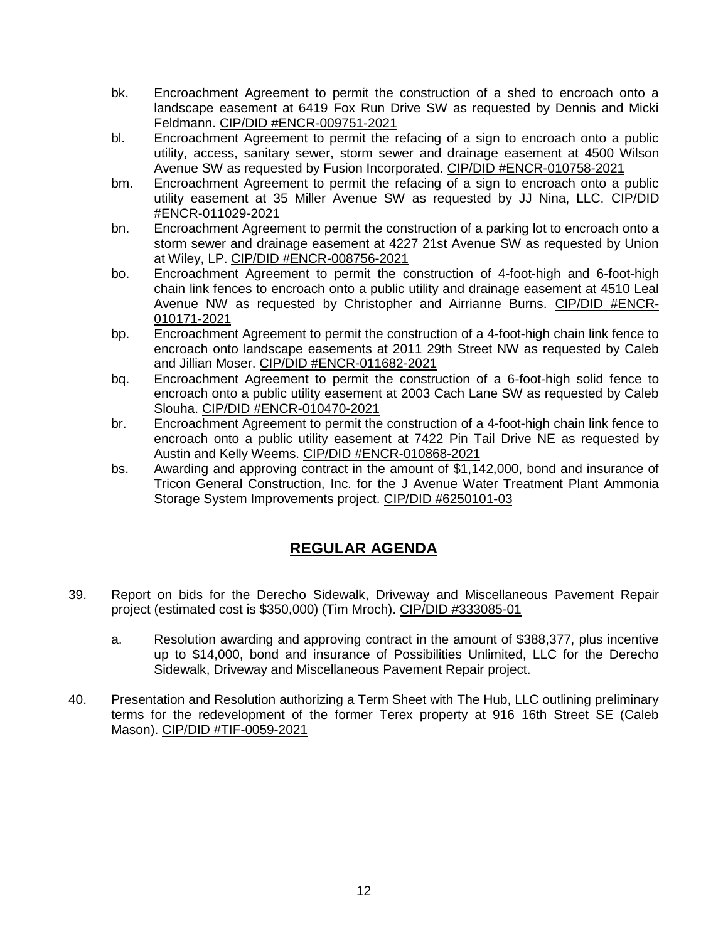- bk. Encroachment Agreement to permit the construction of a shed to encroach onto a landscape easement at 6419 Fox Run Drive SW as requested by Dennis and Micki Feldmann. CIP/DID #ENCR-009751-2021
- bl. Encroachment Agreement to permit the refacing of a sign to encroach onto a public utility, access, sanitary sewer, storm sewer and drainage easement at 4500 Wilson Avenue SW as requested by Fusion Incorporated. CIP/DID #ENCR-010758-2021
- bm. Encroachment Agreement to permit the refacing of a sign to encroach onto a public utility easement at 35 Miller Avenue SW as requested by JJ Nina, LLC. CIP/DID #ENCR-011029-2021
- bn. Encroachment Agreement to permit the construction of a parking lot to encroach onto a storm sewer and drainage easement at 4227 21st Avenue SW as requested by Union at Wiley, LP. CIP/DID #ENCR-008756-2021
- bo. Encroachment Agreement to permit the construction of 4-foot-high and 6-foot-high chain link fences to encroach onto a public utility and drainage easement at 4510 Leal Avenue NW as requested by Christopher and Airrianne Burns. CIP/DID #ENCR-010171-2021
- bp. Encroachment Agreement to permit the construction of a 4-foot-high chain link fence to encroach onto landscape easements at 2011 29th Street NW as requested by Caleb and Jillian Moser. CIP/DID #ENCR-011682-2021
- bq. Encroachment Agreement to permit the construction of a 6-foot-high solid fence to encroach onto a public utility easement at 2003 Cach Lane SW as requested by Caleb Slouha. CIP/DID #ENCR-010470-2021
- br. Encroachment Agreement to permit the construction of a 4-foot-high chain link fence to encroach onto a public utility easement at 7422 Pin Tail Drive NE as requested by Austin and Kelly Weems. CIP/DID #ENCR-010868-2021
- bs. Awarding and approving contract in the amount of \$1,142,000, bond and insurance of Tricon General Construction, Inc. for the J Avenue Water Treatment Plant Ammonia Storage System Improvements project. CIP/DID #6250101-03

## **REGULAR AGENDA**

- 39. Report on bids for the Derecho Sidewalk, Driveway and Miscellaneous Pavement Repair project (estimated cost is \$350,000) (Tim Mroch). CIP/DID #333085-01
	- a. Resolution awarding and approving contract in the amount of \$388,377, plus incentive up to \$14,000, bond and insurance of Possibilities Unlimited, LLC for the Derecho Sidewalk, Driveway and Miscellaneous Pavement Repair project.
- 40. Presentation and Resolution authorizing a Term Sheet with The Hub, LLC outlining preliminary terms for the redevelopment of the former Terex property at 916 16th Street SE (Caleb Mason). CIP/DID #TIF-0059-2021